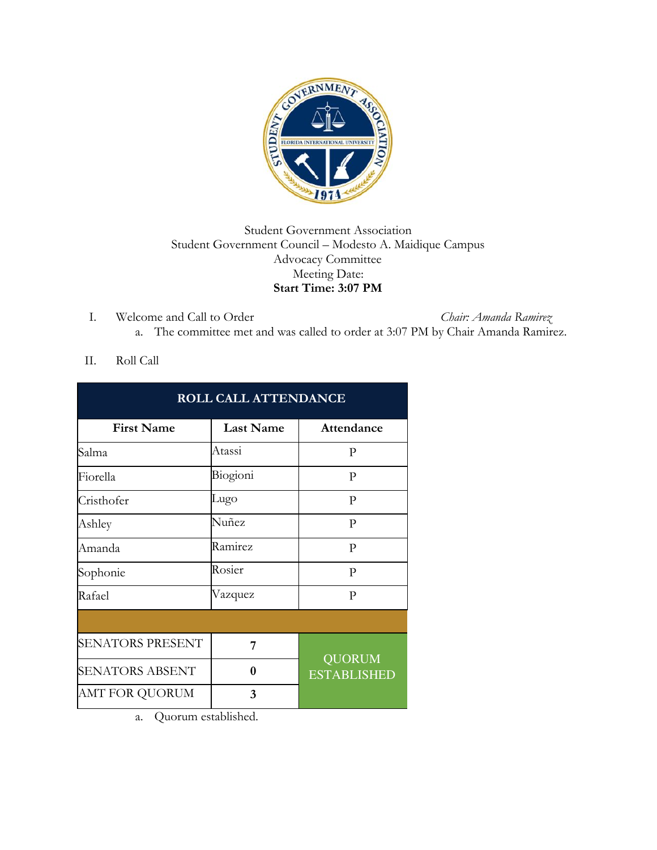

## Student Government Association Student Government Council – Modesto A. Maidique Campus Advocacy Committee Meeting Date: **Start Time: 3:07 PM**

I. Welcome and Call to Order *Chair: Amanda Ramirez* a. The committee met and was called to order at 3:07 PM by Chair Amanda Ramirez.

## II. Roll Call

| <b>ROLL CALL ATTENDANCE</b> |                  |                                     |
|-----------------------------|------------------|-------------------------------------|
| <b>First Name</b>           | <b>Last Name</b> | Attendance                          |
| Salma                       | Atassi           | P                                   |
| Fiorella                    | Biogioni         | P                                   |
| Cristhofer                  | Lugo             | P                                   |
| Ashley                      | Nuñez            | P                                   |
| Amanda                      | Ramirez          | P                                   |
| Sophonie                    | Rosier           | P                                   |
| Rafael                      | Vazquez          | P                                   |
|                             |                  |                                     |
| <b>SENATORS PRESENT</b>     | 7                | <b>QUORUM</b><br><b>ESTABLISHED</b> |
| <b>SENATORS ABSENT</b>      | 0                |                                     |
| AMT FOR QUORUM              | 3                |                                     |

a. Quorum established.